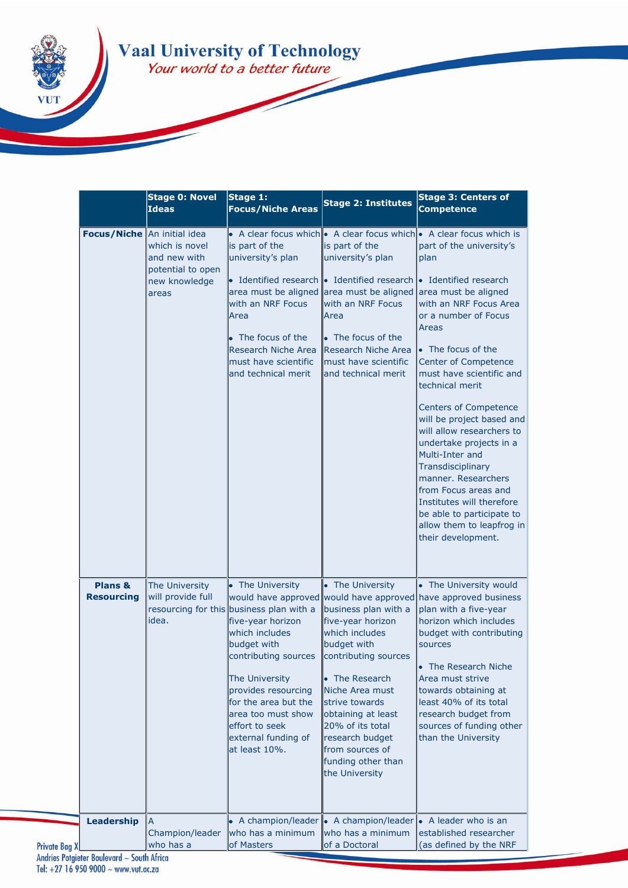## **Vaal University of Technology**<br>Your world to a better future

|                              | <b>Stage 0: Novel</b><br><b>Ideas</b>        | Stage 1:<br><b>Focus/Niche Areas</b>                                                                                                                                                                                                                                                        | <b>Stage 2: Institutes</b>                                                                                                                                                                                                                                                                            | <b>Stage 3: Centers of</b><br><b>Competence</b>                                                                                                                                                                                                                                                                                                           |
|------------------------------|----------------------------------------------|---------------------------------------------------------------------------------------------------------------------------------------------------------------------------------------------------------------------------------------------------------------------------------------------|-------------------------------------------------------------------------------------------------------------------------------------------------------------------------------------------------------------------------------------------------------------------------------------------------------|-----------------------------------------------------------------------------------------------------------------------------------------------------------------------------------------------------------------------------------------------------------------------------------------------------------------------------------------------------------|
| Focus/Niche An initial idea  | which is novel<br>and new with               | is part of the<br>university's plan                                                                                                                                                                                                                                                         | is part of the<br>university's plan                                                                                                                                                                                                                                                                   | A clear focus which • A clear focus which • A clear focus which is<br>part of the university's<br>plan                                                                                                                                                                                                                                                    |
|                              | potential to open<br>new knowledge<br>areas  | $\bullet$ Identified research $\bullet$ Identified research $\bullet$ Identified research<br>with an NRF Focus<br>Area                                                                                                                                                                      | area must be aligned area must be aligned area must be aligned<br>with an NRF Focus<br>Area                                                                                                                                                                                                           | with an NRF Focus Area<br>or a number of Focus                                                                                                                                                                                                                                                                                                            |
|                              |                                              | • The focus of the<br><b>Research Niche Area</b><br>must have scientific<br>and technical merit                                                                                                                                                                                             | • The focus of the<br>Research Niche Area<br>must have scientific<br>and technical merit                                                                                                                                                                                                              | Areas<br>• The focus of the<br>Center of Competence<br>must have scientific and<br>technical merit                                                                                                                                                                                                                                                        |
|                              |                                              |                                                                                                                                                                                                                                                                                             |                                                                                                                                                                                                                                                                                                       | <b>Centers of Competence</b><br>will be project based and<br>will allow researchers to<br>undertake projects in a<br>Multi-Inter and<br>Transdisciplinary<br>manner. Researchers<br>from Focus areas and<br>Institutes will therefore<br>be able to participate to<br>allow them to leapfrog in<br>their development.                                     |
| Plans &<br><b>Resourcing</b> | The University<br>will provide full<br>idea. | • The University<br>resourcing for this business plan with a<br>five-year horizon<br>which includes<br>budget with<br>contributing sources<br>The University<br>provides resourcing<br>for the area but the<br>area too must show<br>effort to seek<br>external funding of<br>at least 10%. | • The University<br>business plan with a<br>five-year horizon<br>which includes<br>budget with<br>contributing sources<br>• The Research<br>Niche Area must<br>strive towards<br>obtaining at least<br>20% of its total<br>research budget<br>from sources of<br>funding other than<br>the University | • The University would<br>would have approved would have approved have approved business<br>plan with a five-year<br>horizon which includes<br>budget with contributing<br>sources<br>The Research Niche<br>Area must strive<br>towards obtaining at<br>least 40% of its total<br>research budget from<br>sources of funding other<br>than the University |
| <b>Leadership</b>            | Champion/leader<br>who has a                 | • A champion/leader • A champion/leader<br>who has a minimum<br>of Masters                                                                                                                                                                                                                  | who has a minimum<br>of a Doctoral                                                                                                                                                                                                                                                                    | • A leader who is an<br>established researcher<br>(as defined by the NRF                                                                                                                                                                                                                                                                                  |

Andries Potgieter Boulevard ~ South Africa<br>Tel: +27 16 950 9000 ~ www.vut.ac.za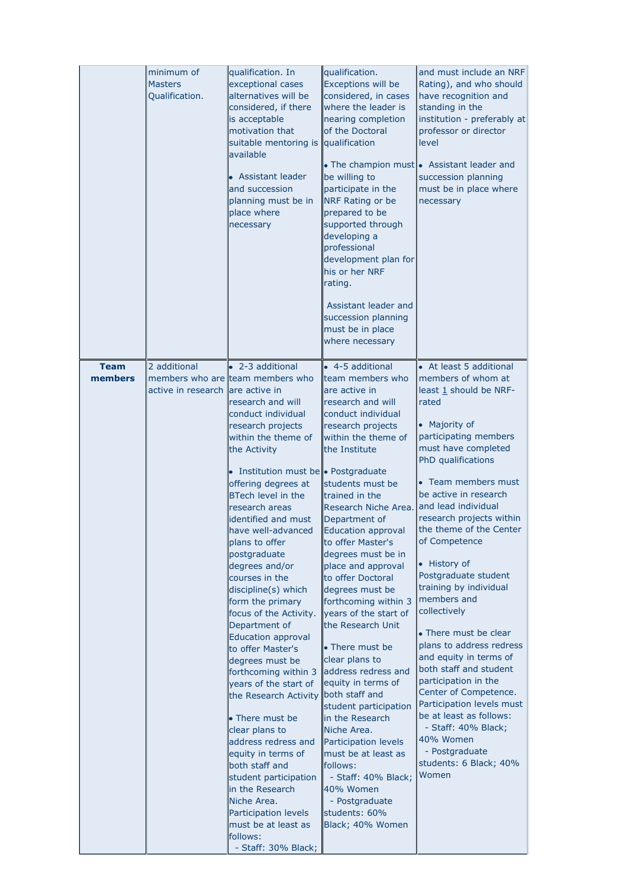|                        | minimum of<br><b>Masters</b><br>Qualification.   | qualification. In<br>exceptional cases<br>alternatives will be<br>considered, if there<br>is acceptable<br>motivation that<br>suitable mentoring is qualification<br>available<br>• Assistant leader<br>and succession<br>planning must be in<br>place where<br>necessary                                                                                                                                                                                                                                                                                                                                                                                                                                                                                                                                                                                                          | qualification.<br><b>Exceptions will be</b><br>considered, in cases<br>where the leader is<br>nearing completion<br>of the Doctoral<br>be willing to<br>participate in the<br><b>NRF Rating or be</b><br>prepared to be<br>supported through<br>developing a<br>professional<br>development plan for<br>his or her NRF<br>rating.<br>Assistant leader and<br>succession planning<br>must be in place<br>where necessary                                                                                                                                                                                                                                                                                                                                                               | and must include an NRF<br>Rating), and who should<br>have recognition and<br>standing in the<br>institution - preferably at<br>professor or director<br>level<br>• The champion must • Assistant leader and<br>succession planning<br>must be in place where<br>necessary                                                                                                                                                                                                                                                                                                                                                                                                                                                         |
|------------------------|--------------------------------------------------|------------------------------------------------------------------------------------------------------------------------------------------------------------------------------------------------------------------------------------------------------------------------------------------------------------------------------------------------------------------------------------------------------------------------------------------------------------------------------------------------------------------------------------------------------------------------------------------------------------------------------------------------------------------------------------------------------------------------------------------------------------------------------------------------------------------------------------------------------------------------------------|---------------------------------------------------------------------------------------------------------------------------------------------------------------------------------------------------------------------------------------------------------------------------------------------------------------------------------------------------------------------------------------------------------------------------------------------------------------------------------------------------------------------------------------------------------------------------------------------------------------------------------------------------------------------------------------------------------------------------------------------------------------------------------------|------------------------------------------------------------------------------------------------------------------------------------------------------------------------------------------------------------------------------------------------------------------------------------------------------------------------------------------------------------------------------------------------------------------------------------------------------------------------------------------------------------------------------------------------------------------------------------------------------------------------------------------------------------------------------------------------------------------------------------|
| <b>Team</b><br>members | 2 additional<br>active in research are active in | • 2-3 additional<br>members who are team members who<br>research and will<br>conduct individual<br>research projects<br>within the theme of<br>the Activity<br>• Institution must be • Postgraduate<br>offering degrees at<br><b>BTech level in the</b><br>research areas<br>identified and must<br>have well-advanced<br>plans to offer<br>postgraduate<br>degrees and/or<br>courses in the<br>discipline(s) which<br>form the primary<br>focus of the Activity.<br>Department of<br><b>Education approval</b><br>to offer Master's<br>degrees must be<br>forthcoming within 3<br>years of the start of<br>the Research Activity<br>• There must be<br>clear plans to<br>address redress and<br>equity in terms of<br>both staff and<br>student participation<br>in the Research<br>Niche Area.<br>Participation levels<br>must be at least as<br>follows:<br>- Staff: 30% Black; | $\bullet$ 4-5 additional<br>team members who<br>are active in<br>research and will<br>conduct individual<br>research projects<br>within the theme of<br>the Institute<br>students must be<br>trained in the<br>Research Niche Area.<br>Department of<br>Education approval<br>to offer Master's<br>degrees must be in<br>place and approval<br>to offer Doctoral<br>degrees must be<br>forthcoming within 3<br>years of the start of<br>the Research Unit<br>• There must be<br>clear plans to<br>address redress and<br>equity in terms of<br>both staff and<br>student participation<br>in the Research<br>Niche Area.<br><b>Participation levels</b><br>must be at least as<br>follows:<br>- Staff: 40% Black;<br>40% Women<br>- Postgraduate<br>students: 60%<br>Black; 40% Women | • At least 5 additional<br>members of whom at<br>least 1 should be NRF-<br>rated<br>• Majority of<br>participating members<br>must have completed<br>PhD qualifications<br>• Team members must<br>be active in research<br>and lead individual<br>research projects within<br>the theme of the Center<br>of Competence<br>• History of<br>Postgraduate student<br>training by individual<br>members and<br>collectively<br>• There must be clear<br>plans to address redress<br>and equity in terms of<br>both staff and student<br>participation in the<br>Center of Competence.<br>Participation levels must<br>be at least as follows:<br>- Staff: 40% Black;<br>40% Women<br>- Postgraduate<br>students: 6 Black; 40%<br>Women |